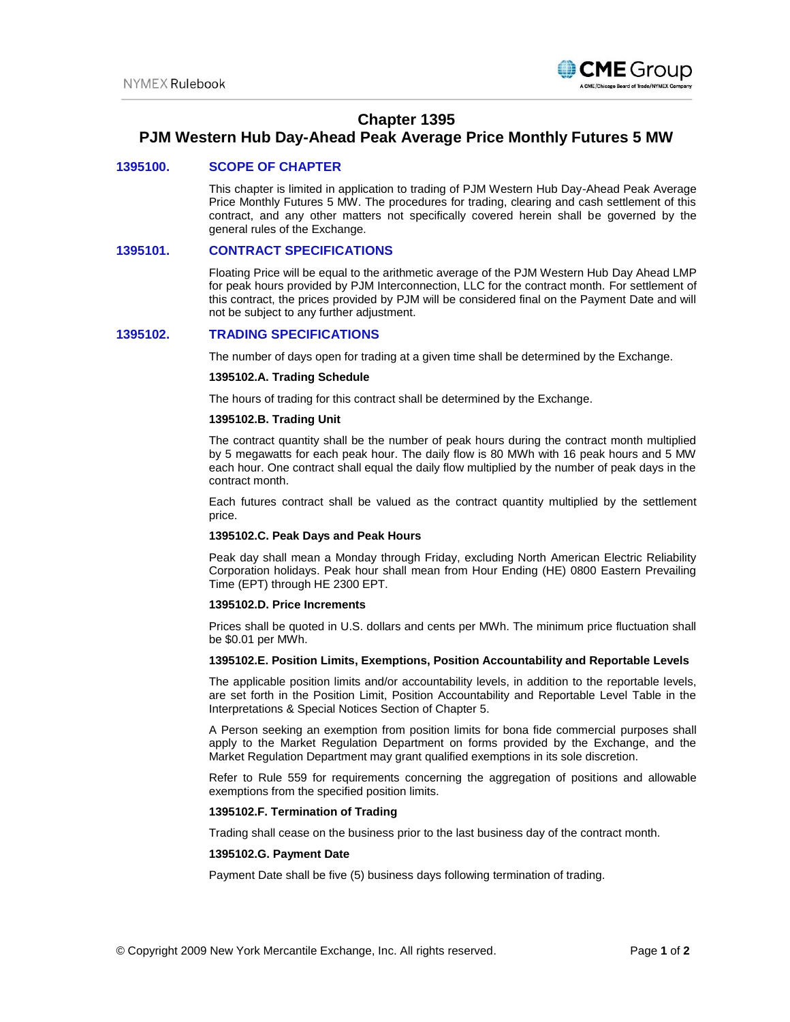

# **Chapter 1395**

# **PJM Western Hub Day-Ahead Peak Average Price Monthly Futures 5 MW**

# **1395100. SCOPE OF CHAPTER**

This chapter is limited in application to trading of PJM Western Hub Day-Ahead Peak Average Price Monthly Futures 5 MW. The procedures for trading, clearing and cash settlement of this contract, and any other matters not specifically covered herein shall be governed by the general rules of the Exchange.

## **1395101. CONTRACT SPECIFICATIONS**

Floating Price will be equal to the arithmetic average of the PJM Western Hub Day Ahead LMP for peak hours provided by PJM Interconnection, LLC for the contract month. For settlement of this contract, the prices provided by PJM will be considered final on the Payment Date and will not be subject to any further adjustment.

## **1395102. TRADING SPECIFICATIONS**

The number of days open for trading at a given time shall be determined by the Exchange.

#### **1395102.A. Trading Schedule**

The hours of trading for this contract shall be determined by the Exchange.

## **1395102.B. Trading Unit**

The contract quantity shall be the number of peak hours during the contract month multiplied by 5 megawatts for each peak hour. The daily flow is 80 MWh with 16 peak hours and 5 MW each hour. One contract shall equal the daily flow multiplied by the number of peak days in the contract month.

Each futures contract shall be valued as the contract quantity multiplied by the settlement price.

## **1395102.C. Peak Days and Peak Hours**

Peak day shall mean a Monday through Friday, excluding North American Electric Reliability Corporation holidays. Peak hour shall mean from Hour Ending (HE) 0800 Eastern Prevailing Time (EPT) through HE 2300 EPT.

### **1395102.D. Price Increments**

Prices shall be quoted in U.S. dollars and cents per MWh. The minimum price fluctuation shall be \$0.01 per MWh.

#### **1395102.E. Position Limits, Exemptions, Position Accountability and Reportable Levels**

The applicable position limits and/or accountability levels, in addition to the reportable levels, are set forth in the Position Limit, Position Accountability and Reportable Level Table in the Interpretations & Special Notices Section of Chapter 5.

A Person seeking an exemption from position limits for bona fide commercial purposes shall apply to the Market Regulation Department on forms provided by the Exchange, and the Market Regulation Department may grant qualified exemptions in its sole discretion.

Refer to Rule 559 for requirements concerning the aggregation of positions and allowable exemptions from the specified position limits.

#### **1395102.F. Termination of Trading**

Trading shall cease on the business prior to the last business day of the contract month.

#### **1395102.G. Payment Date**

Payment Date shall be five (5) business days following termination of trading.